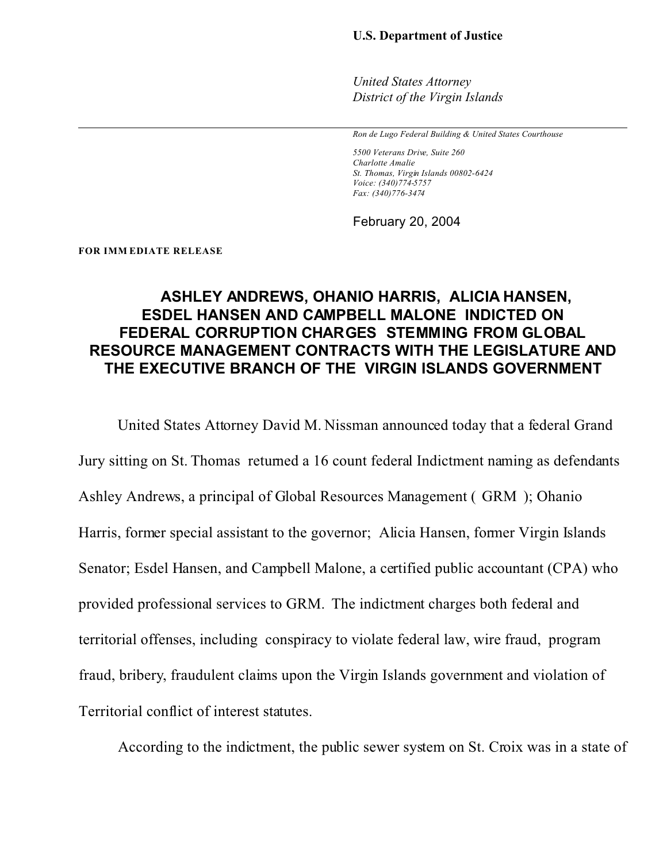*United States Attorney District of the Virgin Islands*

*Ron de Lugo Federal Building & United States Courthouse*

*5500 Veterans Drive, Suite 260 Charlotte Amalie St. Thomas, Virgin Islands 00802-6424 Voice: (340)774-5757 Fax: (340)776-3474*

February 20, 2004

**FOR IMM EDIATE RELEASE**

## **ASHLEY ANDREWS, OHANIO HARRIS, ALICIA HANSEN, ESDEL HANSEN AND CAMPBELL MALONE INDICTED ON FEDERAL CORRUPTION CHARGES STEMMING FROM GLOBAL RESOURCE MANAGEMENT CONTRACTS WITH THE LEGISLATURE AND THE EXECUTIVE BRANCH OF THE VIRGIN ISLANDS GOVERNMENT**

United States Attorney David M. Nissman announced today that a federal Grand Jury sitting on St. Thomas returned a 16 count federal Indictment naming as defendants Ashley Andrews, a principal of Global Resources Management ( GRM ); Ohanio Harris, former special assistant to the governor; Alicia Hansen, former Virgin Islands Senator; Esdel Hansen, and Campbell Malone, a certified public accountant (CPA) who provided professional services to GRM. The indictment charges both federal and territorial offenses, including conspiracy to violate federal law, wire fraud, program fraud, bribery, fraudulent claims upon the Virgin Islands government and violation of Territorial conflict of interest statutes.

According to the indictment, the public sewer system on St. Croix was in a state of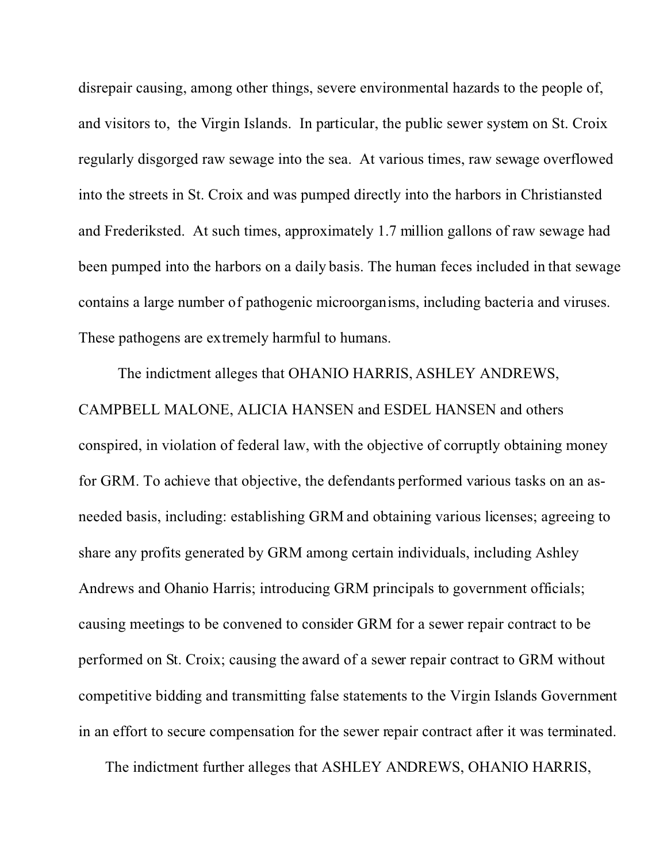disrepair causing, among other things, severe environmental hazards to the people of, and visitors to, the Virgin Islands. In particular, the public sewer system on St. Croix regularly disgorged raw sewage into the sea. At various times, raw sewage overflowed into the streets in St. Croix and was pumped directly into the harbors in Christiansted and Frederiksted. At such times, approximately 1.7 million gallons of raw sewage had been pumped into the harbors on a daily basis. The human feces included in that sewage contains a large number of pathogenic microorganisms, including bacteria and viruses. These pathogens are extremely harmful to humans.

The indictment alleges that OHANIO HARRIS, ASHLEY ANDREWS, CAMPBELL MALONE, ALICIA HANSEN and ESDEL HANSEN and others conspired, in violation of federal law, with the objective of corruptly obtaining money for GRM. To achieve that objective, the defendants performed various tasks on an asneeded basis, including: establishing GRM and obtaining various licenses; agreeing to share any profits generated by GRM among certain individuals, including Ashley Andrews and Ohanio Harris; introducing GRM principals to government officials; causing meetings to be convened to consider GRM for a sewer repair contract to be performed on St. Croix; causing the award of a sewer repair contract to GRM without competitive bidding and transmitting false statements to the Virgin Islands Government in an effort to secure compensation for the sewer repair contract after it was terminated.

The indictment further alleges that ASHLEY ANDREWS, OHANIO HARRIS,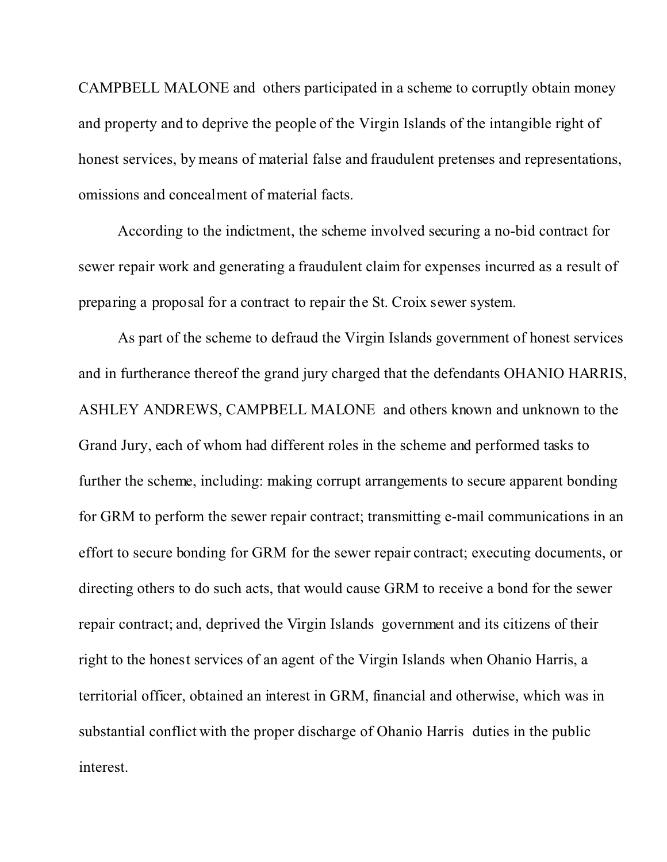CAMPBELL MALONE and others participated in a scheme to corruptly obtain money and property and to deprive the people of the Virgin Islands of the intangible right of honest services, by means of material false and fraudulent pretenses and representations, omissions and concealment of material facts.

According to the indictment, the scheme involved securing a no-bid contract for sewer repair work and generating a fraudulent claim for expenses incurred as a result of preparing a proposal for a contract to repair the St. Croix sewer system.

As part of the scheme to defraud the Virgin Islands government of honest services and in furtherance thereof the grand jury charged that the defendants OHANIO HARRIS, ASHLEY ANDREWS, CAMPBELL MALONE and others known and unknown to the Grand Jury, each of whom had different roles in the scheme and performed tasks to further the scheme, including: making corrupt arrangements to secure apparent bonding for GRM to perform the sewer repair contract; transmitting e-mail communications in an effort to secure bonding for GRM for the sewer repair contract; executing documents, or directing others to do such acts, that would cause GRM to receive a bond for the sewer repair contract; and, deprived the Virgin Islands government and its citizens of their right to the honest services of an agent of the Virgin Islands when Ohanio Harris, a territorial officer, obtained an interest in GRM, financial and otherwise, which was in substantial conflict with the proper discharge of Ohanio Harris duties in the public interest.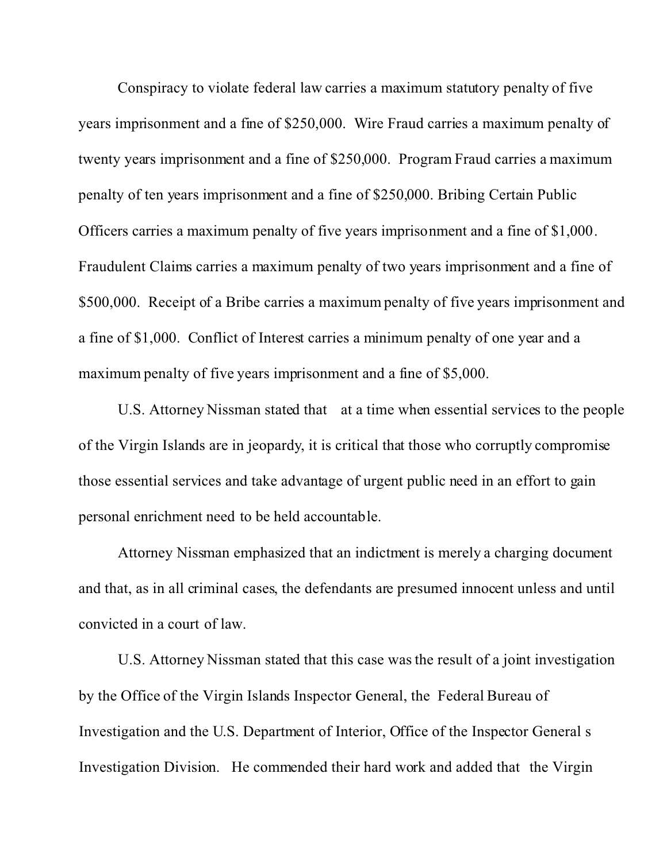Conspiracy to violate federal law carries a maximum statutory penalty of five years imprisonment and a fine of \$250,000. Wire Fraud carries a maximum penalty of twenty years imprisonment and a fine of \$250,000. Program Fraud carries a maximum penalty of ten years imprisonment and a fine of \$250,000. Bribing Certain Public Officers carries a maximum penalty of five years imprisonment and a fine of \$1,000. Fraudulent Claims carries a maximum penalty of two years imprisonment and a fine of \$500,000. Receipt of a Bribe carries a maximum penalty of five years imprisonment and a fine of \$1,000. Conflict of Interest carries a minimum penalty of one year and a maximum penalty of five years imprisonment and a fine of \$5,000.

U.S. Attorney Nissman stated that at a time when essential services to the people of the Virgin Islands are in jeopardy, it is critical that those who corruptly compromise those essential services and take advantage of urgent public need in an effort to gain personal enrichment need to be held accountable.

Attorney Nissman emphasized that an indictment is merely a charging document and that, as in all criminal cases, the defendants are presumed innocent unless and until convicted in a court of law.

U.S. Attorney Nissman stated that this case was the result of a joint investigation by the Office of the Virgin Islands Inspector General, the Federal Bureau of Investigation and the U.S. Department of Interior, Office of the Inspector General s Investigation Division. He commended their hard work and added that the Virgin